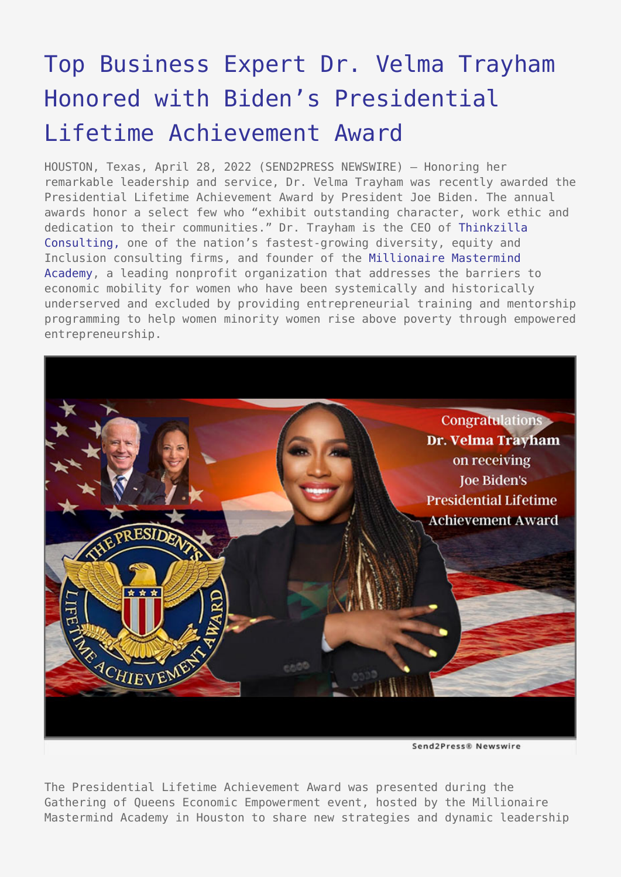## [Top Business Expert Dr. Velma Trayham](https://www.send2press.com/wire/top-business-expert-dr-velma-trayham-honored-with-bidens-presidential-lifetime-achievement-award/) [Honored with Biden's Presidential](https://www.send2press.com/wire/top-business-expert-dr-velma-trayham-honored-with-bidens-presidential-lifetime-achievement-award/) [Lifetime Achievement Award](https://www.send2press.com/wire/top-business-expert-dr-velma-trayham-honored-with-bidens-presidential-lifetime-achievement-award/)

HOUSTON, Texas, April 28, 2022 (SEND2PRESS NEWSWIRE) — Honoring her remarkable leadership and service, Dr. Velma Trayham was recently awarded the Presidential Lifetime Achievement Award by President Joe Biden. The annual awards honor a select few who "exhibit outstanding character, work ethic and dedication to their communities." Dr. Trayham is the CEO of [Thinkzilla](https://thinkzillaconsulting.com/) [Consulting,](https://thinkzillaconsulting.com/) one of the nation's fastest-growing diversity, equity and Inclusion consulting firms, and founder of the [Millionaire Mastermind](https://millionairemastermindacademy.org/programs/real-estate-accelerator-program/) [Academy,](https://millionairemastermindacademy.org/programs/real-estate-accelerator-program/) a leading nonprofit organization that addresses the barriers to economic mobility for women who have been systemically and historically underserved and excluded by providing entrepreneurial training and mentorship programming to help women minority women rise above poverty through empowered entrepreneurship.



The Presidential Lifetime Achievement Award was presented during the Gathering of Queens Economic Empowerment event, hosted by the Millionaire Mastermind Academy in Houston to share new strategies and dynamic leadership